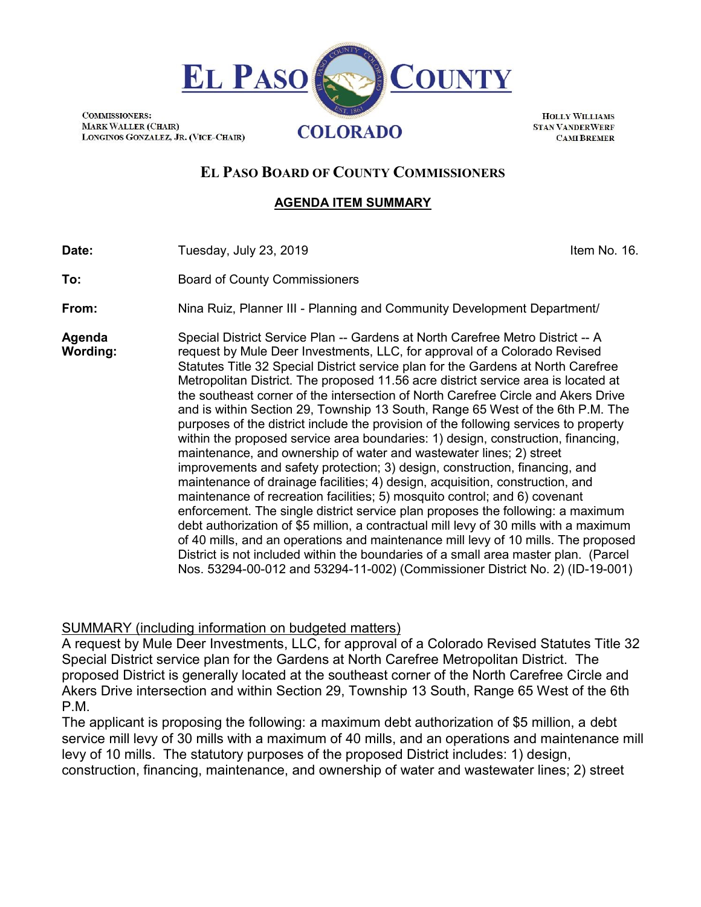

**HOLLY WILLIAMS STAN VANDERWERF CAMI BREMER** 

# **EL PASO BOARD OF COUNTY COMMISSIONERS**

### **AGENDA ITEM SUMMARY**

**Date:** Tuesday, July 23, 2019 **In the Contract Contract Contract Contract Contract Contract Contract Contract Contract Contract Contract Contract Contract Contract Contract Contract Contract Contract Contract Contract Con** 

**COMMISSIONERS:** 

**To:** Board of County Commissioners

**From:** Nina Ruiz, Planner III - Planning and Community Development Department/

**Agenda Wording:** Special District Service Plan -- Gardens at North Carefree Metro District -- A request by Mule Deer Investments, LLC, for approval of a Colorado Revised Statutes Title 32 Special District service plan for the Gardens at North Carefree Metropolitan District. The proposed 11.56 acre district service area is located at the southeast corner of the intersection of North Carefree Circle and Akers Drive and is within Section 29, Township 13 South, Range 65 West of the 6th P.M. The purposes of the district include the provision of the following services to property within the proposed service area boundaries: 1) design, construction, financing, maintenance, and ownership of water and wastewater lines; 2) street improvements and safety protection; 3) design, construction, financing, and maintenance of drainage facilities; 4) design, acquisition, construction, and maintenance of recreation facilities; 5) mosquito control; and 6) covenant enforcement. The single district service plan proposes the following: a maximum debt authorization of \$5 million, a contractual mill levy of 30 mills with a maximum of 40 mills, and an operations and maintenance mill levy of 10 mills. The proposed District is not included within the boundaries of a small area master plan. (Parcel Nos. 53294-00-012 and 53294-11-002) (Commissioner District No. 2) (ID-19-001)

## SUMMARY (including information on budgeted matters)

A request by Mule Deer Investments, LLC, for approval of a Colorado Revised Statutes Title 32 Special District service plan for the Gardens at North Carefree Metropolitan District. The proposed District is generally located at the southeast corner of the North Carefree Circle and Akers Drive intersection and within Section 29, Township 13 South, Range 65 West of the 6th P.M.

The applicant is proposing the following: a maximum debt authorization of \$5 million, a debt service mill levy of 30 mills with a maximum of 40 mills, and an operations and maintenance mill levy of 10 mills. The statutory purposes of the proposed District includes: 1) design, construction, financing, maintenance, and ownership of water and wastewater lines; 2) street